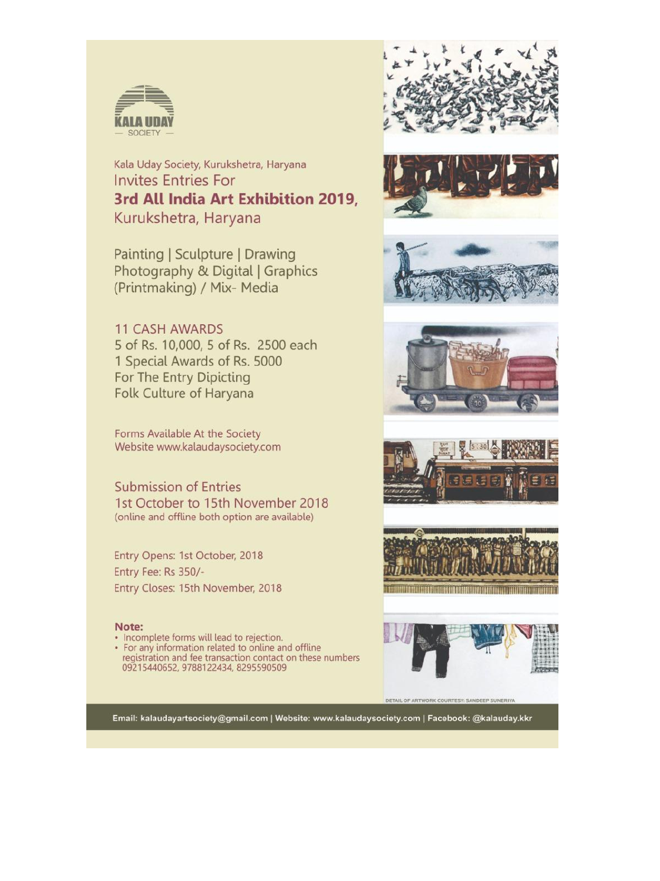

Kala Uday Society, Kurukshetra, Haryana **Invites Entries For** 3rd All India Art Exhibition 2019. Kurukshetra, Haryana

Painting | Sculpture | Drawing Photography & Digital | Graphics (Printmaking) / Mix- Media

## **11 CASH AWARDS** 5 of Rs. 10,000, 5 of Rs. 2500 each 1 Special Awards of Rs. 5000 For The Entry Dipicting Folk Culture of Haryana

Forms Available At the Society Website www.kalaudaysociety.com

**Submission of Entries** 1st October to 15th November 2018 (online and offline both option are available)

Entry Opens: 1st October, 2018 Entry Fee: Rs 350/-Entry Closes: 15th November, 2018

#### Note:

- · Incomplete forms will lead to rejection.
- For any information related to online and offline registration and fee transaction contact on these numbers 09215440652, 9788122434, 8295590509















DETAIL OF ARTWORK COURTESY: SANDEEP SUNERIYA

Email: kalaudayartsociety@gmail.com | Website: www.kalaudaysociety.com | Facebook: @kalauday.kkr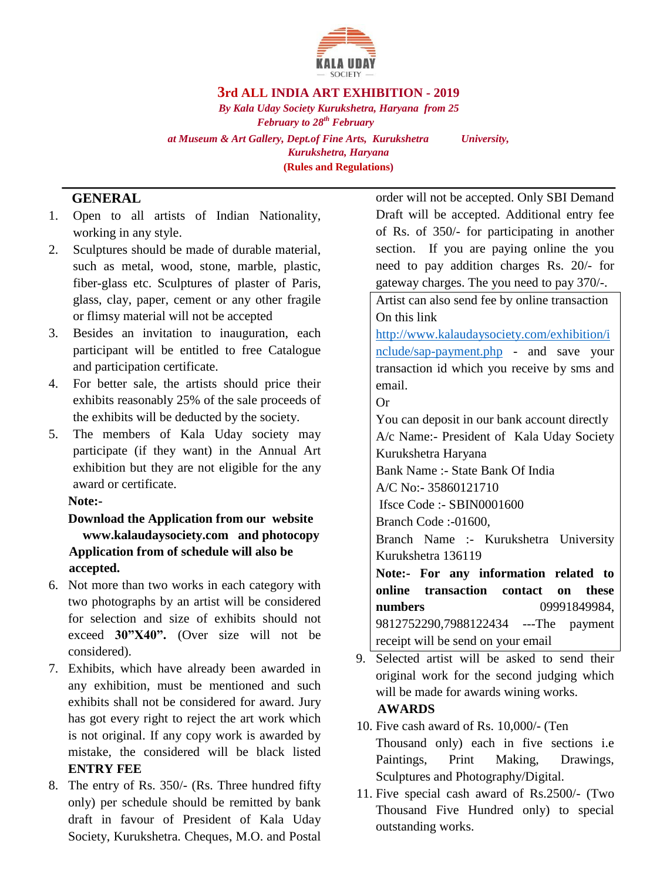

### **3rd ALL INDIA ART EXHIBITION - 2019**

*By Kala Uday Society Kurukshetra, Haryana from 25 February to 28th February at Museum & Art Gallery, Dept.of Fine Arts, Kurukshetra University, Kurukshetra, Haryana* **(Rules and Regulations)** 

## **GENERAL**

- 1. Open to all artists of Indian Nationality, working in any style.
- 2. Sculptures should be made of durable material, such as metal, wood, stone, marble, plastic, fiber-glass etc. Sculptures of plaster of Paris, glass, clay, paper, cement or any other fragile or flimsy material will not be accepted
- 3. Besides an invitation to inauguration, each participant will be entitled to free Catalogue and participation certificate.
- 4. For better sale, the artists should price their exhibits reasonably 25% of the sale proceeds of the exhibits will be deducted by the society.
- 5. The members of Kala Uday society may participate (if they want) in the Annual Art exhibition but they are not eligible for the any award or certificate.

## **Note:-**

## **Download the Application from our website www.kalaudaysociety.com and photocopy Application from of schedule will also be accepted.**

- 6. Not more than two works in each category with two photographs by an artist will be considered for selection and size of exhibits should not exceed **30"X40".** (Over size will not be considered).
- 7. Exhibits, which have already been awarded in any exhibition, must be mentioned and such exhibits shall not be considered for award. Jury has got every right to reject the art work which is not original. If any copy work is awarded by mistake, the considered will be black listed **ENTRY FEE**
- 8. The entry of Rs. 350/- (Rs. Three hundred fifty only) per schedule should be remitted by bank draft in favour of President of Kala Uday Society, Kurukshetra. Cheques, M.O. and Postal

order will not be accepted. Only SBI Demand Draft will be accepted. Additional entry fee of Rs. of 350/- for participating in another section. If you are paying online the you need to pay addition charges Rs. 20/- for gateway charges. The you need to pay 370/-.

Artist can also send fee by online transaction On this link

[http://www.kalaudaysociety.com/exhibition/i](http://www.kalaudaysociety.com/exhibition/include/sap-payment.php) [nclude/sap-payment.php](http://www.kalaudaysociety.com/exhibition/include/sap-payment.php) - and save your transaction id which you receive by sms and email.

Or

You can deposit in our bank account directly A/c Name:- President of Kala Uday Society Kurukshetra Haryana

Bank Name :- State Bank Of India

A/C No:- 35860121710

Ifsce Code :- SBIN0001600

Branch Code :-01600,

Branch Name :- Kurukshetra University Kurukshetra 136119

**Note:- For any information related to online transaction contact on these numbers** 09991849984, 9812752290,7988122434 ---The payment receipt will be send on your email

9. Selected artist will be asked to send their original work for the second judging which will be made for awards wining works.

## **AWARDS**

- 10. Five cash award of Rs. 10,000/- (Ten Thousand only) each in five sections i.e Paintings, Print Making, Drawings, Sculptures and Photography/Digital.
- 11. Five special cash award of Rs.2500/- (Two Thousand Five Hundred only) to special outstanding works.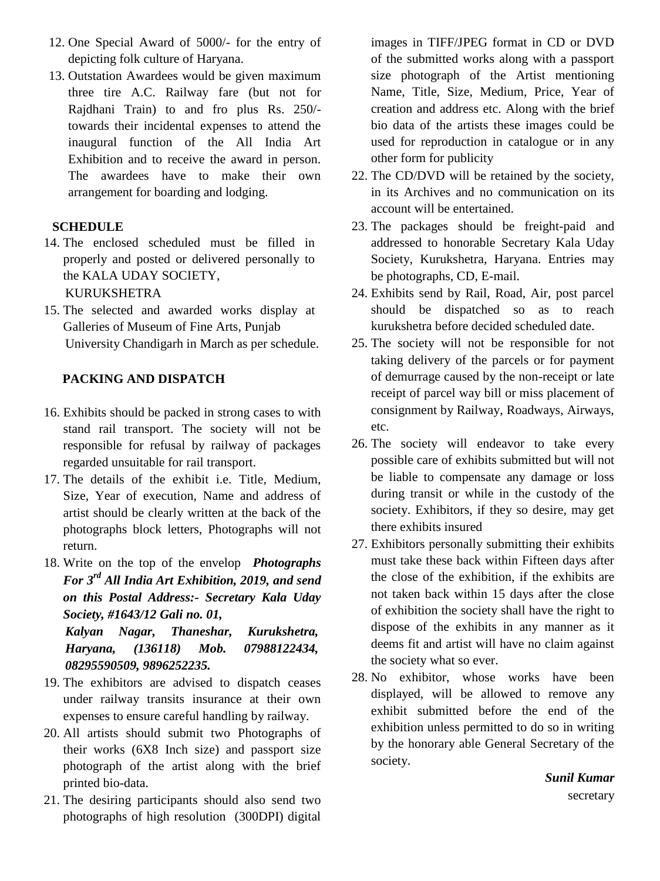- 12. One Special Award of 5000/- for the entry of depicting folk culture of Haryana.
- 13. Outstation Awardees would be given maximum three tire A.C. Railway fare (but not for Rajdhani Train) to and fro plus Rs. 250/ towards their incidental expenses to attend the inaugural function of the All India Art Exhibition and to receive the award in person. The awardees have to make their own arrangement for boarding and lodging.

## **SCHEDULE**

- 14. The enclosed scheduled must be filled in properly and posted or delivered personally to the KALA UDAY SOCIETY, KURUKSHETRA
- 15. The selected and awarded works display at Galleries of Museum of Fine Arts, Punjab University Chandigarh in March as per schedule.

# **PACKING AND DISPATCH**

- 16. Exhibits should be packed in strong cases to with stand rail transport. The society will not be responsible for refusal by railway of packages regarded unsuitable for rail transport.
- 17. The details of the exhibit i.e. Title, Medium, Size, Year of execution, Name and address of artist should be clearly written at the back of the photographs block letters, Photographs will not return.
- 18. Write on the top of the envelop *Photographs For 3 rd All India Art Exhibition, 2019, and send on this Postal Address:- Secretary Kala Uday Society, #1643/12 Gali no. 01,*

*Kalyan Nagar, Thaneshar, Kurukshetra, Haryana, (136118) Mob. 07988122434, 08295590509, 9896252235.* 

- 19. The exhibitors are advised to dispatch ceases under railway transits insurance at their own expenses to ensure careful handling by railway.
- 20. All artists should submit two Photographs of their works (6X8 Inch size) and passport size photograph of the artist along with the brief printed bio-data.
- 21. The desiring participants should also send two photographs of high resolution (300DPI) digital

images in TIFF/JPEG format in CD or DVD of the submitted works along with a passport size photograph of the Artist mentioning Name, Title, Size, Medium, Price, Year of creation and address etc. Along with the brief bio data of the artists these images could be used for reproduction in catalogue or in any other form for publicity

- 22. The CD/DVD will be retained by the society, in its Archives and no communication on its account will be entertained.
- 23. The packages should be freight-paid and addressed to honorable Secretary Kala Uday Society, Kurukshetra, Haryana. Entries may be photographs, CD, E-mail.
- 24. Exhibits send by Rail, Road, Air, post parcel should be dispatched so as to reach kurukshetra before decided scheduled date.
- 25. The society will not be responsible for not taking delivery of the parcels or for payment of demurrage caused by the non-receipt or late receipt of parcel way bill or miss placement of consignment by Railway, Roadways, Airways, etc.
- 26. The society will endeavor to take every possible care of exhibits submitted but will not be liable to compensate any damage or loss during transit or while in the custody of the society. Exhibitors, if they so desire, may get there exhibits insured
- 27. Exhibitors personally submitting their exhibits must take these back within Fifteen days after the close of the exhibition, if the exhibits are not taken back within 15 days after the close of exhibition the society shall have the right to dispose of the exhibits in any manner as it deems fit and artist will have no claim against the society what so ever.
- 28. No exhibitor, whose works have been displayed, will be allowed to remove any exhibit submitted before the end of the exhibition unless permitted to do so in writing by the honorary able General Secretary of the society.

*Sunil Kumar*  secretary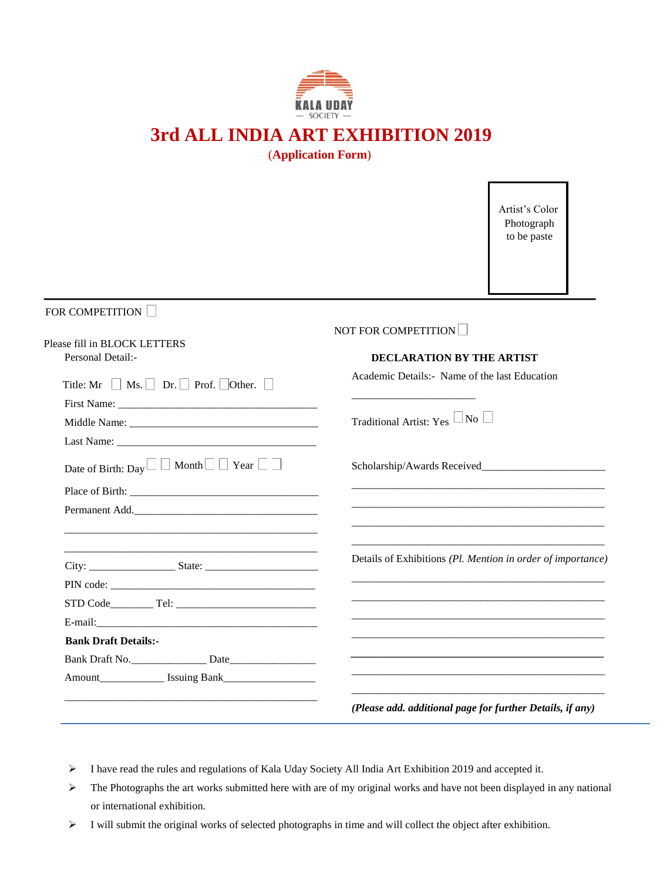

# **3rd ALL INDIA ART EXHIBITION 2019**

(**Application Form**)

Artist's Color Photograph to be paste

## FOR COMPETITION  $\Box$

Please fill in BLOCK LETTERS

## NOT FOR COMPETITION

| <b>Personal Detail:-</b>                                          | <b>DECLARATION BY THE ARTIST</b>                                                                                                                                                                                              |
|-------------------------------------------------------------------|-------------------------------------------------------------------------------------------------------------------------------------------------------------------------------------------------------------------------------|
| Title: Mr $\Box$ Ms. $\Box$ Dr. $\Box$ Prof. $\Box$ Other. $\Box$ | Academic Details: - Name of the last Education                                                                                                                                                                                |
|                                                                   |                                                                                                                                                                                                                               |
|                                                                   | Traditional Artist: Yes $\Box$ No $\Box$                                                                                                                                                                                      |
|                                                                   |                                                                                                                                                                                                                               |
| Date of Birth: Day $\Box$ Month $\Box$ Year $\Box$ $\Box$         |                                                                                                                                                                                                                               |
|                                                                   | the control of the control of the control of the control of the control of the control of the control of the control of the control of the control of the control of the control of the control of the control of the control |
| Permanent Add.                                                    |                                                                                                                                                                                                                               |
|                                                                   |                                                                                                                                                                                                                               |
|                                                                   | Details of Exhibitions (Pl. Mention in order of importance)                                                                                                                                                                   |
|                                                                   |                                                                                                                                                                                                                               |
|                                                                   |                                                                                                                                                                                                                               |
|                                                                   |                                                                                                                                                                                                                               |
| <b>Bank Draft Details:-</b>                                       |                                                                                                                                                                                                                               |
| Bank Draft No.                                                    |                                                                                                                                                                                                                               |
|                                                                   |                                                                                                                                                                                                                               |
|                                                                   | and the state of the state of the state of the state of the state of the state of the state of the state of the<br>(Please add. additional page for further Details, if any)                                                  |

- I have read the rules and regulations of Kala Uday Society All India Art Exhibition 2019 and accepted it.
- $\triangleright$  The Photographs the art works submitted here with are of my original works and have not been displayed in any national or international exhibition.
- I will submit the original works of selected photographs in time and will collect the object after exhibition.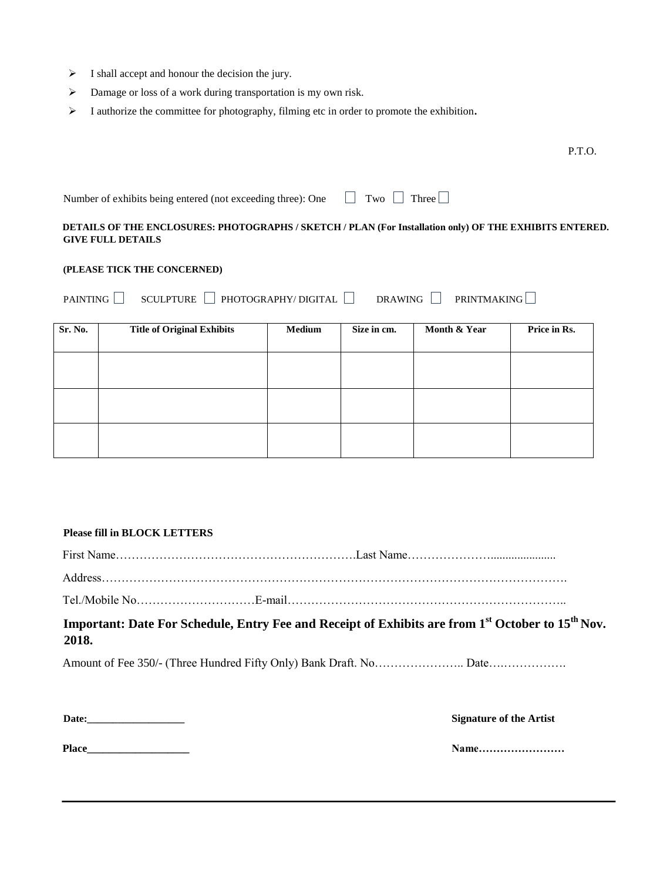- $\triangleright$  I shall accept and honour the decision the jury.
- Damage or loss of a work during transportation is my own risk.
- I authorize the committee for photography, filming etc in order to promote the exhibition**.**

P.T.O.

| Number of exhibits being entered (not exceeding three): One $\Box$ Two $\Box$ Three $\Box$ |  |  |
|--------------------------------------------------------------------------------------------|--|--|
|                                                                                            |  |  |

### **DETAILS OF THE ENCLOSURES: PHOTOGRAPHS / SKETCH / PLAN (For Installation only) OF THE EXHIBITS ENTERED. GIVE FULL DETAILS**

#### **(PLEASE TICK THE CONCERNED)**

| PAINTING | SCULPTURE | $\mid$ PHOTOGRAPHY/ DIGITAL | <b>DRAWING</b> | <b>PRINTMAKING</b> |
|----------|-----------|-----------------------------|----------------|--------------------|
|          |           |                             |                |                    |

| <b>Sr. No.</b> | <b>Title of Original Exhibits</b> | <b>Medium</b> | Size in cm. | Month & Year | Price in Rs. |
|----------------|-----------------------------------|---------------|-------------|--------------|--------------|
|                |                                   |               |             |              |              |
|                |                                   |               |             |              |              |
|                |                                   |               |             |              |              |
|                |                                   |               |             |              |              |
|                |                                   |               |             |              |              |

### **Please fill in BLOCK LETTERS**

| Important: Date For Schedule, Entry Fee and Receipt of Exhibits are from 1 <sup>st</sup> October to 15 <sup>th</sup> Nov.<br>2018. |                                |
|------------------------------------------------------------------------------------------------------------------------------------|--------------------------------|
|                                                                                                                                    |                                |
| Date:                                                                                                                              | <b>Signature of the Artist</b> |

**Place\_\_\_\_\_\_\_\_\_\_\_\_\_\_\_\_\_\_\_ Name……………………**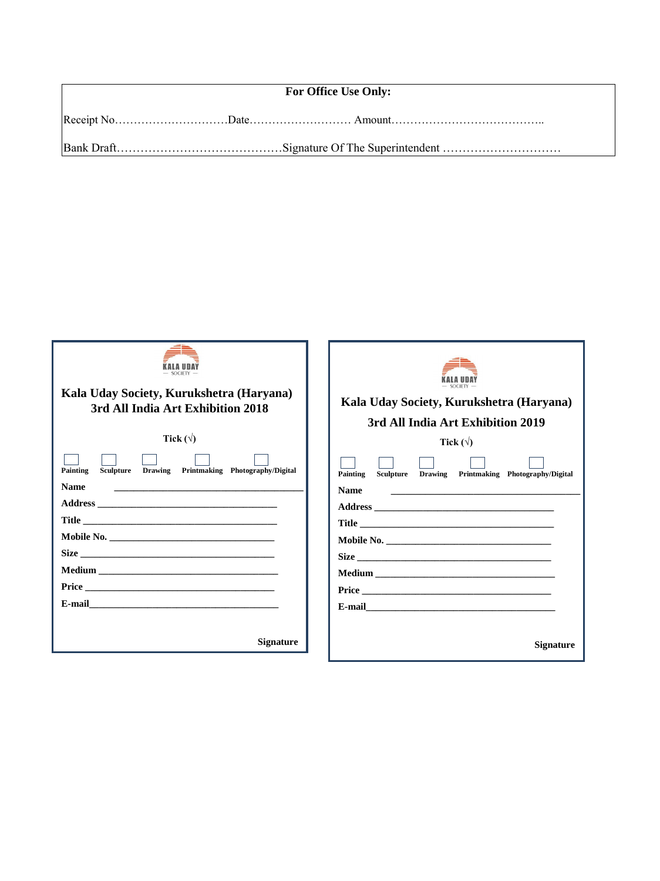| <b>For Office Use Only:</b> |  |  |
|-----------------------------|--|--|
|                             |  |  |
|                             |  |  |

| Kala Uday Society, Kurukshetra (Haryana)<br>3rd All India Art Exhibition 2018<br>Tick $(\forall)$<br>Painting<br>Sculpture<br>Drawing<br>Printmaking Photography/Digital<br><b>Name</b><br><u> 1989 - Jan Samuel Barbara, margaret e popularista e popularista e popularista e popularista e popularista e p</u> | Kala Uday Society, Kurukshetra (Haryana)<br>3rd All India Art Exhibition 2019<br>Tick $(\forall)$<br>Sculpture Drawing Printmaking Photography/Digital<br>Painting<br><b>Name</b><br><u> 2000 - John Harry Harry Harry Harry Harry Harry Harry Harry Harry Harry Harry Harry Harry Harry Harry Harry Harry Harry Harry Harry Harry Harry Harry Harry Harry Harry Harry Harry Harry Harry Harry Harry Harry Harry Harr</u> |
|------------------------------------------------------------------------------------------------------------------------------------------------------------------------------------------------------------------------------------------------------------------------------------------------------------------|---------------------------------------------------------------------------------------------------------------------------------------------------------------------------------------------------------------------------------------------------------------------------------------------------------------------------------------------------------------------------------------------------------------------------|
| <b>Signature</b>                                                                                                                                                                                                                                                                                                 | <b>Signature</b>                                                                                                                                                                                                                                                                                                                                                                                                          |